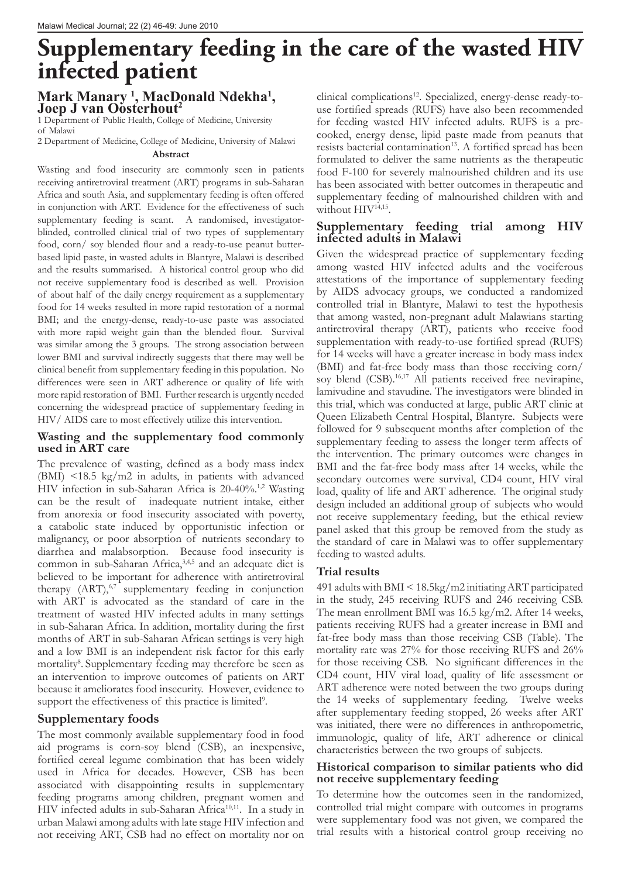## **Supplementary feeding in the care of the wasted HIV infected patient**

# **Mark Manary 1 , MacDonald Ndekha1 , Joep J van Oosterhout2**

1 Department of Public Health, College of Medicine, University of Malawi

**Abstract** 2 Department of Medicine, College of Medicine, University of Malawi

Wasting and food insecurity are commonly seen in patients receiving antiretroviral treatment (ART) programs in sub-Saharan Africa and south Asia, and supplementary feeding is often offered in conjunction with ART. Evidence for the effectiveness of such supplementary feeding is scant. A randomised, investigatorblinded, controlled clinical trial of two types of supplementary food, corn/ soy blended flour and a ready-to-use peanut butterbased lipid paste, in wasted adults in Blantyre, Malawi is described and the results summarised. A historical control group who did not receive supplementary food is described as well. Provision of about half of the daily energy requirement as a supplementary food for 14 weeks resulted in more rapid restoration of a normal BMI; and the energy-dense, ready-to-use paste was associated with more rapid weight gain than the blended flour. Survival was similar among the 3 groups. The strong association between lower BMI and survival indirectly suggests that there may well be clinical benefit from supplementary feeding in this population. No differences were seen in ART adherence or quality of life with more rapid restoration of BMI. Further research is urgently needed concerning the widespread practice of supplementary feeding in HIV/ AIDS care to most effectively utilize this intervention.

## **Wasting and the supplementary food commonly used in ART care**

The prevalence of wasting, defined as a body mass index (BMI) <18.5 kg/m2 in adults, in patients with advanced HIV infection in sub-Saharan Africa is 20-40%.<sup>1,2</sup> Wasting can be the result of inadequate nutrient intake, either from anorexia or food insecurity associated with poverty, a catabolic state induced by opportunistic infection or malignancy, or poor absorption of nutrients secondary to diarrhea and malabsorption. Because food insecurity is common in sub-Saharan Africa,<sup>3,4,5</sup> and an adequate diet is believed to be important for adherence with antiretroviral therapy  $(ART),$ <sup>6,7</sup> supplementary feeding in conjunction with ART is advocated as the standard of care in the treatment of wasted HIV infected adults in many settings in sub-Saharan Africa. In addition, mortality during the first months of ART in sub-Saharan African settings is very high and a low BMI is an independent risk factor for this early mortality<sup>8</sup>. Supplementary feeding may therefore be seen as an intervention to improve outcomes of patients on ART because it ameliorates food insecurity. However, evidence to support the effectiveness of this practice is limited<sup>9</sup>.

## **Supplementary foods**

The most commonly available supplementary food in food aid programs is corn-soy blend (CSB), an inexpensive, fortified cereal legume combination that has been widely used in Africa for decades. However, CSB has been associated with disappointing results in supplementary feeding programs among children, pregnant women and HIV infected adults in sub-Saharan Africa<sup>10,11</sup>. In a study in urban Malawi among adults with late stage HIV infection and not receiving ART, CSB had no effect on mortality nor on clinical complications<sup>12</sup>. Specialized, energy-dense ready-touse fortified spreads (RUFS) have also been recommended for feeding wasted HIV infected adults. RUFS is a precooked, energy dense, lipid paste made from peanuts that resists bacterial contamination<sup>13</sup>. A fortified spread has been formulated to deliver the same nutrients as the therapeutic food F-100 for severely malnourished children and its use has been associated with better outcomes in therapeutic and supplementary feeding of malnourished children with and without HIV<sup>14,15</sup>.

## **Supplementary feeding trial among HIV infected adults in Malawi**

Given the widespread practice of supplementary feeding among wasted HIV infected adults and the vociferous attestations of the importance of supplementary feeding by AIDS advocacy groups, we conducted a randomized controlled trial in Blantyre, Malawi to test the hypothesis that among wasted, non-pregnant adult Malawians starting antiretroviral therapy (ART), patients who receive food supplementation with ready-to-use fortified spread (RUFS) for 14 weeks will have a greater increase in body mass index (BMI) and fat-free body mass than those receiving corn/ soy blend (CSB).<sup>16,17</sup> All patients received free nevirapine, lamivudine and stavudine. The investigators were blinded in this trial, which was conducted at large, public ART clinic at Queen Elizabeth Central Hospital, Blantyre. Subjects were followed for 9 subsequent months after completion of the supplementary feeding to assess the longer term affects of the intervention. The primary outcomes were changes in BMI and the fat-free body mass after 14 weeks, while the secondary outcomes were survival, CD4 count, HIV viral load, quality of life and ART adherence. The original study design included an additional group of subjects who would not receive supplementary feeding, but the ethical review panel asked that this group be removed from the study as the standard of care in Malawi was to offer supplementary feeding to wasted adults.

## **Trial results**

491 adults with BMI < 18.5kg/m2 initiating ART participated in the study, 245 receiving RUFS and 246 receiving CSB. The mean enrollment BMI was 16.5 kg/m2. After 14 weeks, patients receiving RUFS had a greater increase in BMI and fat-free body mass than those receiving CSB (Table). The mortality rate was 27% for those receiving RUFS and 26% for those receiving CSB. No significant differences in the CD4 count, HIV viral load, quality of life assessment or ART adherence were noted between the two groups during the 14 weeks of supplementary feeding. Twelve weeks after supplementary feeding stopped, 26 weeks after ART was initiated, there were no differences in anthropometric, immunologic, quality of life, ART adherence or clinical characteristics between the two groups of subjects.

## **Historical comparison to similar patients who did not receive supplementary feeding**

To determine how the outcomes seen in the randomized, controlled trial might compare with outcomes in programs were supplementary food was not given, we compared the trial results with a historical control group receiving no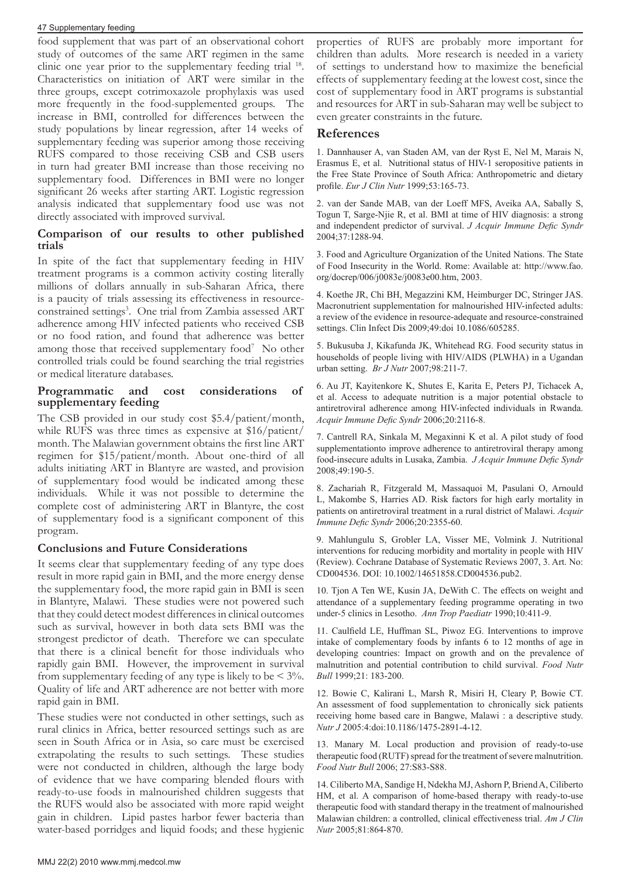#### 47 Supplementary feeding

food supplement that was part of an observational cohort study of outcomes of the same ART regimen in the same clinic one year prior to the supplementary feeding trial <sup>18</sup>. Characteristics on initiation of ART were similar in the three groups, except cotrimoxazole prophylaxis was used more frequently in the food-supplemented groups. The increase in BMI, controlled for differences between the study populations by linear regression, after 14 weeks of supplementary feeding was superior among those receiving RUFS compared to those receiving CSB and CSB users in turn had greater BMI increase than those receiving no supplementary food. Differences in BMI were no longer significant 26 weeks after starting ART. Logistic regression analysis indicated that supplementary food use was not directly associated with improved survival.

## **Comparison of our results to other published trials**

In spite of the fact that supplementary feeding in HIV treatment programs is a common activity costing literally millions of dollars annually in sub-Saharan Africa, there is a paucity of trials assessing its effectiveness in resourceconstrained settings<sup>3</sup>. One trial from Zambia assessed ART adherence among HIV infected patients who received CSB or no food ration, and found that adherence was better among those that received supplementary food<sup>7</sup> No other controlled trials could be found searching the trial registries or medical literature databases.

## **Programmatic and cost considerations of supplementary feeding**

The CSB provided in our study cost \$5.4/patient/month, while RUFS was three times as expensive at \$16/patient/ month. The Malawian government obtains the first line ART regimen for \$15/patient/month. About one-third of all adults initiating ART in Blantyre are wasted, and provision of supplementary food would be indicated among these individuals. While it was not possible to determine the complete cost of administering ART in Blantyre, the cost of supplementary food is a significant component of this program.

## **Conclusions and Future Considerations**

It seems clear that supplementary feeding of any type does result in more rapid gain in BMI, and the more energy dense the supplementary food, the more rapid gain in BMI is seen in Blantyre, Malawi. These studies were not powered such that they could detect modest differences in clinical outcomes such as survival, however in both data sets BMI was the strongest predictor of death. Therefore we can speculate that there is a clinical benefit for those individuals who rapidly gain BMI. However, the improvement in survival from supplementary feeding of any type is likely to be  $\leq 3\%$ . Quality of life and ART adherence are not better with more rapid gain in BMI.

These studies were not conducted in other settings, such as rural clinics in Africa, better resourced settings such as are seen in South Africa or in Asia, so care must be exercised extrapolating the results to such settings. These studies were not conducted in children, although the large body of evidence that we have comparing blended flours with ready-to-use foods in malnourished children suggests that the RUFS would also be associated with more rapid weight gain in children. Lipid pastes harbor fewer bacteria than water-based porridges and liquid foods; and these hygienic

properties of RUFS are probably more important for children than adults. More research is needed in a variety of settings to understand how to maximize the beneficial effects of supplementary feeding at the lowest cost, since the cost of supplementary food in ART programs is substantial and resources for ART in sub-Saharan may well be subject to even greater constraints in the future.

## **References**

1. Dannhauser A, van Staden AM, van der Ryst E, Nel M, Marais N, Erasmus E, et al. Nutritional status of HIV-1 seropositive patients in the Free State Province of South Africa: Anthropometric and dietary profile. *Eur J Clin Nutr* 1999;53:165-73.

2. van der Sande MAB, van der Loeff MFS, Aveika AA, Sabally S, Togun T, Sarge-Njie R, et al. BMI at time of HIV diagnosis: a strong and independent predictor of survival. *J Acquir Immune Defic Syndr* 2004;37:1288-94.

3. Food and Agriculture Organization of the United Nations. The State of Food Insecurity in the World. Rome: Available at: http://www.fao. org/docrep/006/j0083e/j0083e00.htm, 2003.

4. Koethe JR, Chi BH, Megazzini KM, Heimburger DC, Stringer JAS. Macronutrient supplementation for malnourished HIV-infected adults: a review of the evidence in resource-adequate and resource-constrained settings. Clin Infect Dis 2009;49:doi 10.1086/605285.

5. Bukusuba J, Kikafunda JK, Whitehead RG. Food security status in households of people living with HIV/AIDS (PLWHA) in a Ugandan urban setting. *Br J Nutr* 2007;98:211-7.

6. Au JT, Kayitenkore K, Shutes E, Karita E, Peters PJ, Tichacek A, et al. Access to adequate nutrition is a major potential obstacle to antiretroviral adherence among HIV-infected individuals in Rwanda. *Acquir Immune Defic Syndr* 2006;20:2116-8.

7. Cantrell RA, Sinkala M, Megaxinni K et al. A pilot study of food supplementationto improve adherence to antiretroviral therapy among food-insecure adults in Lusaka, Zambia. *J Acquir Immune Defic Syndr* 2008;49:190-5.

8. Zachariah R, Fitzgerald M, Massaquoi M, Pasulani O, Arnould L, Makombe S, Harries AD. Risk factors for high early mortality in patients on antiretroviral treatment in a rural district of Malawi. *Acquir Immune Defic Syndr* 2006;20:2355-60.

9. Mahlungulu S, Grobler LA, Visser ME, Volmink J. Nutritional interventions for reducing morbidity and mortality in people with HIV (Review). Cochrane Database of Systematic Reviews 2007, 3. Art. No: CD004536. DOI: 10.1002/14651858.CD004536.pub2.

10. Tjon A Ten WE, Kusin JA, DeWith C. The effects on weight and attendance of a supplementary feeding programme operating in two under-5 clinics in Lesotho. *Ann Trop Paediatr* 1990;10:411-9.

11. Caulfield LE, Huffman SL, Piwoz EG. Interventions to improve intake of complementary foods by infants 6 to 12 months of age in developing countries: Impact on growth and on the prevalence of malnutrition and potential contribution to child survival. *Food Nutr Bull* 1999;21: 183-200.

12. Bowie C, Kalirani L, Marsh R, Misiri H, Cleary P, Bowie CT. An assessment of food supplementation to chronically sick patients receiving home based care in Bangwe, Malawi : a descriptive study. *Nutr J* 2005:4:doi:10.1186/1475-2891-4-12.

13. Manary M. Local production and provision of ready-to-use therapeutic food (RUTF) spread for the treatment of severe malnutrition. *Food Nutr Bull* 2006; 27:S83-S88.

14. Ciliberto MA, Sandige H, Ndekha MJ, Ashorn P, Briend A, Ciliberto HM, et al. A comparison of home-based therapy with ready-to-use therapeutic food with standard therapy in the treatment of malnourished Malawian children: a controlled, clinical effectiveness trial. *Am J Clin Nutr* 2005;81:864-870.